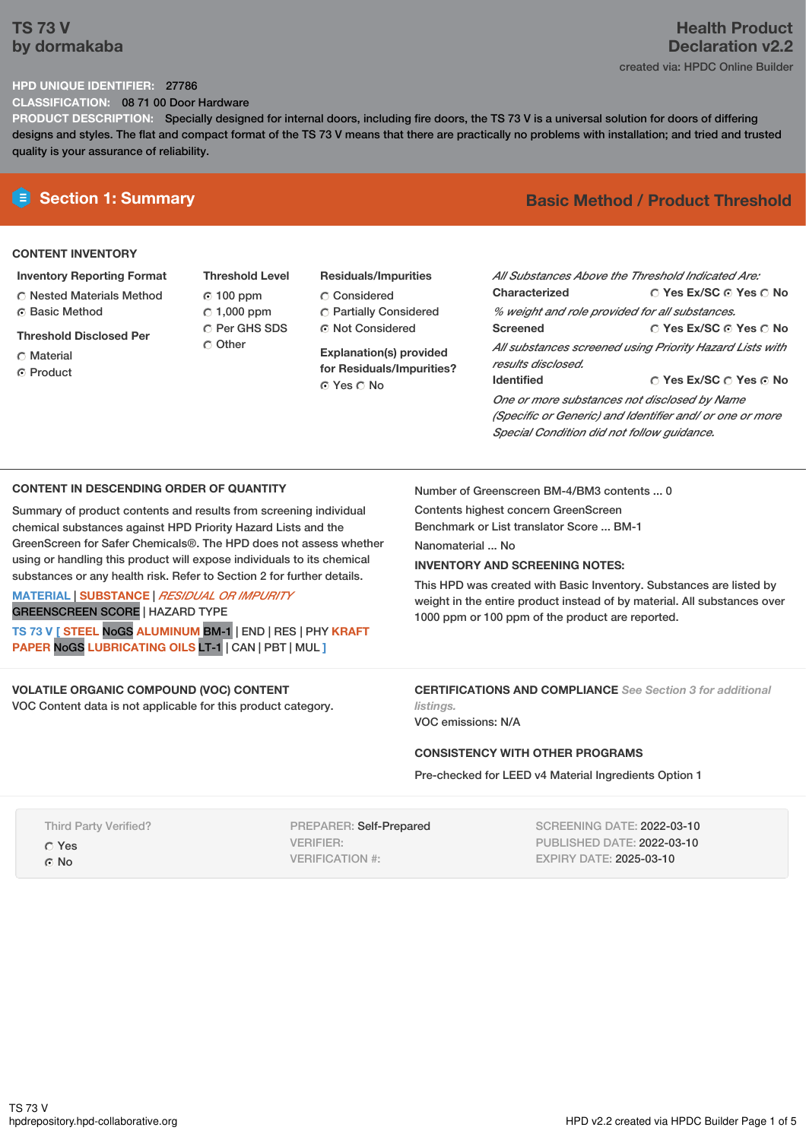## **TS 73 V by dormakaba**

## **Health Product Declaration v2.2** created via: HPDC Online Builder

## **HPD UNIQUE IDENTIFIER:** 27786

**CLASSIFICATION:** 08 71 00 Door Hardware

**PRODUCT DESCRIPTION:** Specially designed for internal doors, including fire doors, the TS 73 V is a universal solution for doors of differing designs and styles. The flat and compact format of the TS 73 V means that there are practically no problems with installation; and tried and trusted quality is your assurance of reliability.

## **CONTENT INVENTORY**

**Inventory Reporting Format**

Nested Materials Method **C** Basic Method

**Threshold Disclosed Per**

- Material
- ⊙ Product
- **Threshold Level** 100 ppm  $\degree$  1,000 ppm C Per GHS SDS Other
- **Residuals/Impurities** Considered Partially Considered Not Considered

**Explanation(s) provided for Residuals/Impurities?** © Yes ∩ No

# **E** Section 1: Summary **Basic Method / Product Threshold**

| All Substances Above the Threshold Indicated Are:<br>Characterized | ∩ Yes Ex/SC ∩ Yes ∩ No |  |  |  |
|--------------------------------------------------------------------|------------------------|--|--|--|
| % weight and role provided for all substances.                     |                        |  |  |  |
| <b>Screened</b>                                                    | ∩ Yes Ex/SC ∩ Yes ∩ No |  |  |  |
| All substances screened using Priority Hazard Lists with           |                        |  |  |  |
| results disclosed.                                                 |                        |  |  |  |
| <b>Identified</b>                                                  | ∩ Yes Ex/SC ∩ Yes ∩ No |  |  |  |
| One or more substances not disclosed by Name                       |                        |  |  |  |
| (Specific or Generic) and Identifier and/ or one or more           |                        |  |  |  |
| Special Condition did not follow quidance.                         |                        |  |  |  |

## **CONTENT IN DESCENDING ORDER OF QUANTITY**

Summary of product contents and results from screening individual chemical substances against HPD Priority Hazard Lists and the GreenScreen for Safer Chemicals®. The HPD does not assess whether using or handling this product will expose individuals to its chemical substances or any health risk. Refer to Section 2 for further details.

**MATERIAL** | **SUBSTANCE** | *RESIDUAL OR IMPURITY* GREENSCREEN SCORE | HAZARD TYPE

**TS 73 V [ STEEL** NoGS **ALUMINUM** BM-1 | END | RES | PHY **KRAFT PAPER** NoGS **LUBRICATING OILS** LT-1 | CAN | PBT | MUL **]**

## **VOLATILE ORGANIC COMPOUND (VOC) CONTENT**

VOC Content data is not applicable for this product category.

Number of Greenscreen BM-4/BM3 contents ... 0

Contents highest concern GreenScreen Benchmark or List translator Score ... BM-1

Nanomaterial No.

## **INVENTORY AND SCREENING NOTES:**

This HPD was created with Basic Inventory. Substances are listed by weight in the entire product instead of by material. All substances over 1000 ppm or 100 ppm of the product are reported.

**CERTIFICATIONS AND COMPLIANCE** *See Section 3 for additional listings.*

VOC emissions: N/A

## **CONSISTENCY WITH OTHER PROGRAMS**

Pre-checked for LEED v4 Material Ingredients Option 1

Third Party Verified? Yes © No

PREPARER: Self-Prepared VERIFIER: VERIFICATION #:

SCREENING DATE: 2022-03-10 PUBLISHED DATE: 2022-03-10 EXPIRY DATE: 2025-03-10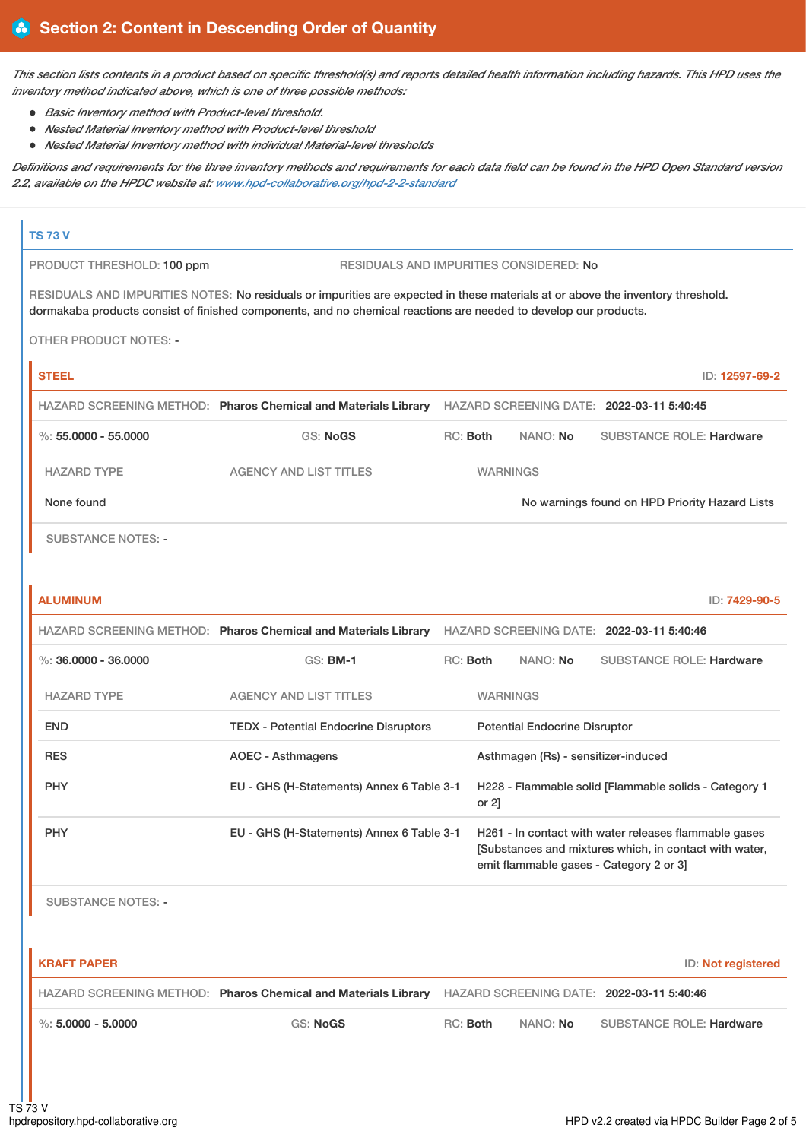This section lists contents in a product based on specific threshold(s) and reports detailed health information including hazards. This HPD uses the *inventory method indicated above, which is one of three possible methods:*

- *Basic Inventory method with Product-level threshold.*
- *Nested Material Inventory method with Product-level threshold*
- *Nested Material Inventory method with individual Material-level thresholds*

Definitions and requirements for the three inventory methods and requirements for each data field can be found in the HPD Open Standard version *2.2, available on the HPDC website at: [www.hpd-collaborative.org/hpd-2-2-standard](https://www.hpd-collaborative.org/hpd-2-2-standard)*

## **TS 73 V**

PRODUCT THRESHOLD: 100 ppm RESIDUALS AND IMPURITIES CONSIDERED: No

RESIDUALS AND IMPURITIES NOTES: No residuals or impurities are expected in these materials at or above the inventory threshold. dormakaba products consist of finished components, and no chemical reactions are needed to develop our products.

OTHER PRODUCT NOTES: -

| <b>STEEL</b>         |                                                                |            |                 | ID: 12597-69-2                                 |
|----------------------|----------------------------------------------------------------|------------|-----------------|------------------------------------------------|
|                      | HAZARD SCREENING METHOD: Pharos Chemical and Materials Library |            |                 | HAZARD SCREENING DATE: 2022-03-11 5:40:45      |
| %: 55.0000 - 55.0000 | GS: NoGS                                                       | $RC:$ Both | NANO: <b>No</b> | <b>SUBSTANCE ROLE: Hardware</b>                |
| <b>HAZARD TYPE</b>   | <b>AGENCY AND LIST TITLES</b>                                  |            | <b>WARNINGS</b> |                                                |
| None found           |                                                                |            |                 | No warnings found on HPD Priority Hazard Lists |
|                      |                                                                |            |                 |                                                |

SUBSTANCE NOTES: -

| ID: 7429-90-5                                                                                                                                             |  |  |
|-----------------------------------------------------------------------------------------------------------------------------------------------------------|--|--|
| HAZARD SCREENING DATE: 2022-03-11 5:40:46                                                                                                                 |  |  |
| <b>SUBSTANCE ROLE: Hardware</b><br>NANO: No                                                                                                               |  |  |
| <b>WARNINGS</b>                                                                                                                                           |  |  |
| <b>Potential Endocrine Disruptor</b>                                                                                                                      |  |  |
| Asthmagen (Rs) - sensitizer-induced                                                                                                                       |  |  |
| H228 - Flammable solid [Flammable solids - Category 1<br>or $2$ ]                                                                                         |  |  |
| H261 - In contact with water releases flammable gases<br>[Substances and mixtures which, in contact with water,<br>emit flammable gases - Category 2 or 3 |  |  |
|                                                                                                                                                           |  |  |

SUBSTANCE NOTES: -

| I KRAFT PAPER        |                                                                |          |          | ID: Not registered                        |
|----------------------|----------------------------------------------------------------|----------|----------|-------------------------------------------|
|                      | HAZARD SCREENING METHOD: Pharos Chemical and Materials Library |          |          | HAZARD SCREENING DATE: 2022-03-11 5:40:46 |
| %: $5.0000 - 5.0000$ | <b>GS: NoGS</b>                                                | RC: Both | NANO: No | <b>SUBSTANCE ROLE: Hardware</b>           |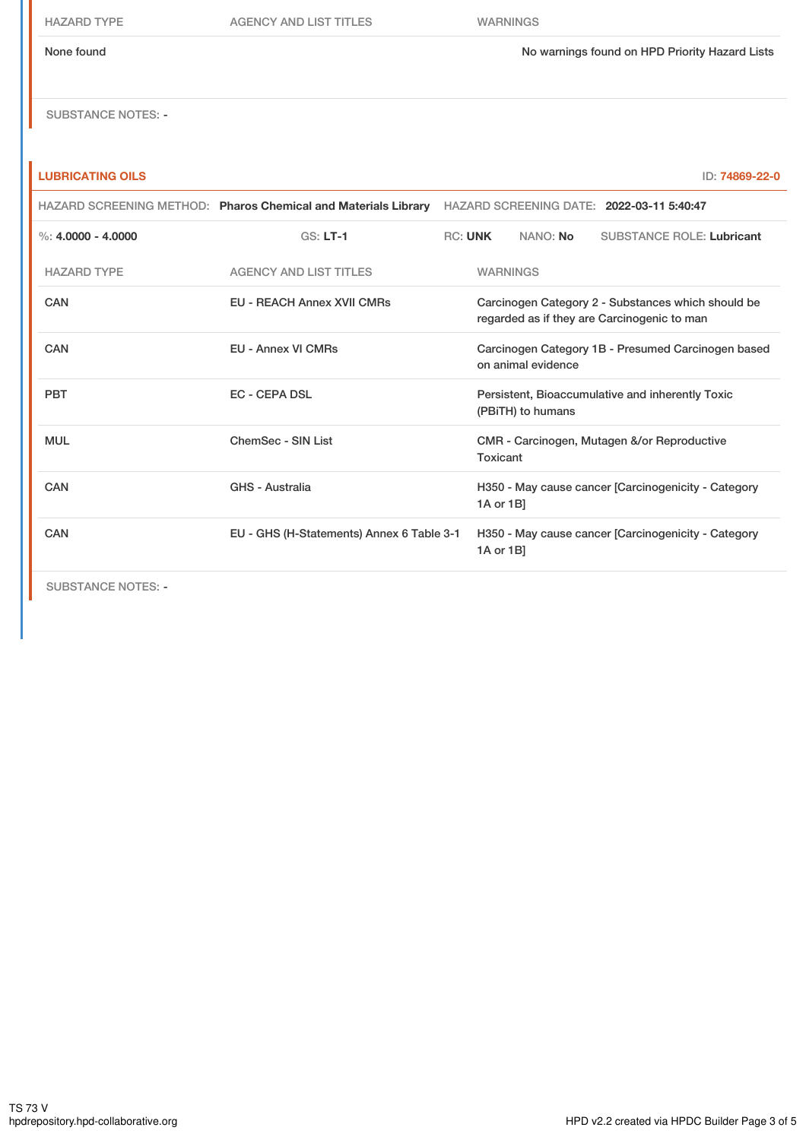HAZARD TYPE AGENCY AND LIST TITLES WARNINGS

None found No warnings found on HPD Priority Hazard Lists

SUBSTANCE NOTES: -

## **LUBRICATING OILS** ID: **74869-22-0**

|                               |                                    | HAZARD SCREENING METHOD: Pharos Chemical and Materials Library   | HAZARD SCREENING DATE: 2022-03-11 5:40:47                                |                                                                       |          |                                                                                                   |  |  |
|-------------------------------|------------------------------------|------------------------------------------------------------------|--------------------------------------------------------------------------|-----------------------------------------------------------------------|----------|---------------------------------------------------------------------------------------------------|--|--|
|                               | %: $4.0000 - 4.0000$               | $GS: LT-1$                                                       | <b>RC: UNK</b>                                                           |                                                                       | NANO: No | <b>SUBSTANCE ROLE: Lubricant</b>                                                                  |  |  |
|                               | <b>HAZARD TYPE</b>                 | <b>AGENCY AND LIST TITLES</b>                                    |                                                                          | <b>WARNINGS</b>                                                       |          |                                                                                                   |  |  |
|                               | CAN                                | <b>EU - REACH Annex XVII CMRs</b>                                |                                                                          |                                                                       |          | Carcinogen Category 2 - Substances which should be<br>regarded as if they are Carcinogenic to man |  |  |
|                               | CAN                                | <b>EU - Annex VI CMRs</b>                                        | Carcinogen Category 1B - Presumed Carcinogen based<br>on animal evidence |                                                                       |          |                                                                                                   |  |  |
|                               | <b>PBT</b><br><b>EC - CEPA DSL</b> |                                                                  |                                                                          | Persistent, Bioaccumulative and inherently Toxic<br>(PBITH) to humans |          |                                                                                                   |  |  |
|                               | <b>MUL</b>                         | ChemSec - SIN List                                               |                                                                          | CMR - Carcinogen, Mutagen &/or Reproductive<br>Toxicant               |          |                                                                                                   |  |  |
| <b>CAN</b><br>GHS - Australia |                                    | H350 - May cause cancer [Carcinogenicity - Category<br>1A or 1B] |                                                                          |                                                                       |          |                                                                                                   |  |  |
|                               | CAN                                | EU - GHS (H-Statements) Annex 6 Table 3-1                        |                                                                          | H350 - May cause cancer [Carcinogenicity - Category<br>1A or 1B]      |          |                                                                                                   |  |  |
|                               |                                    |                                                                  |                                                                          |                                                                       |          |                                                                                                   |  |  |

SUBSTANCE NOTES: -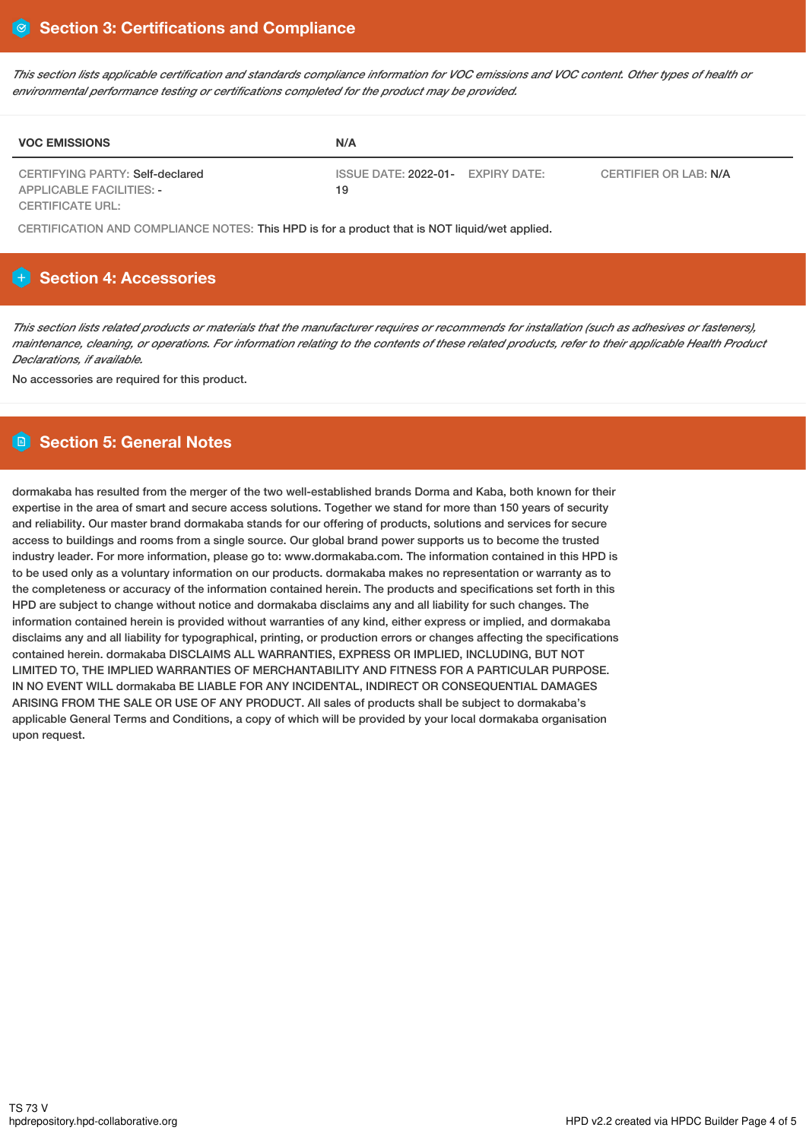This section lists applicable certification and standards compliance information for VOC emissions and VOC content. Other types of health or *environmental performance testing or certifications completed for the product may be provided.*

| <b>VOC EMISSIONS</b>                                               | N/A                                     |                       |
|--------------------------------------------------------------------|-----------------------------------------|-----------------------|
| CERTIFYING PARTY: Self-declared<br><b>APPLICABLE FACILITIES: -</b> | ISSUE DATE: 2022-01- EXPIRY DATE:<br>19 | CERTIFIER OR LAB: N/A |
| <b>CERTIFICATE URL:</b>                                            |                                         |                       |

CERTIFICATION AND COMPLIANCE NOTES: This HPD is for a product that is NOT liquid/wet applied.

## **Section 4: Accessories**

This section lists related products or materials that the manufacturer requires or recommends for installation (such as adhesives or fasteners), maintenance, cleaning, or operations. For information relating to the contents of these related products, refer to their applicable Health Product *Declarations, if available.*

No accessories are required for this product.

## **Section 5: General Notes**

dormakaba has resulted from the merger of the two well-established brands Dorma and Kaba, both known for their expertise in the area of smart and secure access solutions. Together we stand for more than 150 years of security and reliability. Our master brand dormakaba stands for our offering of products, solutions and services for secure access to buildings and rooms from a single source. Our global brand power supports us to become the trusted industry leader. For more information, please go to: www.dormakaba.com. The information contained in this HPD is to be used only as a voluntary information on our products. dormakaba makes no representation or warranty as to the completeness or accuracy of the information contained herein. The products and specifications set forth in this HPD are subject to change without notice and dormakaba disclaims any and all liability for such changes. The information contained herein is provided without warranties of any kind, either express or implied, and dormakaba disclaims any and all liability for typographical, printing, or production errors or changes affecting the specifications contained herein. dormakaba DISCLAIMS ALL WARRANTIES, EXPRESS OR IMPLIED, INCLUDING, BUT NOT LIMITED TO, THE IMPLIED WARRANTIES OF MERCHANTABILITY AND FITNESS FOR A PARTICULAR PURPOSE. IN NO EVENT WILL dormakaba BE LIABLE FOR ANY INCIDENTAL, INDIRECT OR CONSEQUENTIAL DAMAGES ARISING FROM THE SALE OR USE OF ANY PRODUCT. All sales of products shall be subject to dormakaba's applicable General Terms and Conditions, a copy of which will be provided by your local dormakaba organisation upon request.